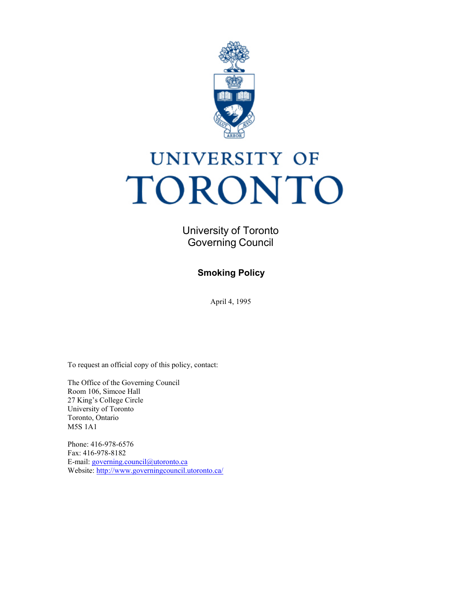

# **UNIVERSITY OF** TORONTO

University of Toronto Governing Council

**Smoking Policy**

April 4, 1995

To request an official copy of this policy, contact:

The Office of the Governing Council Room 106, Simcoe Hall 27 King's College Circle University of Toronto Toronto, Ontario M5S 1A1

Phone: 416-978-6576 Fax: 416-978-8182 E-mail: [governing.council@utoronto.ca](mailto:governing.council@utoronto.ca) Website:<http://www.governingcouncil.utoronto.ca/>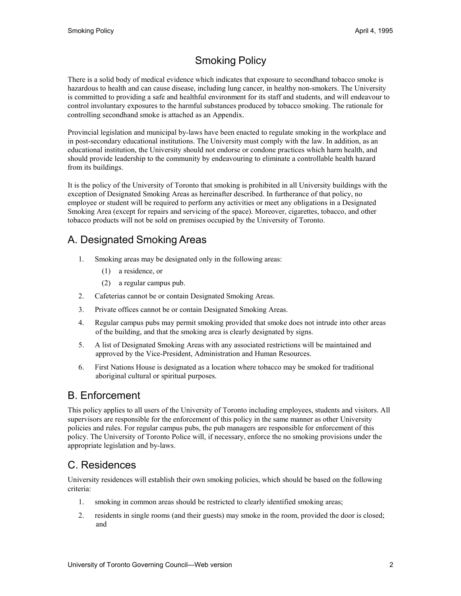## Smoking Policy

There is a solid body of medical evidence which indicates that exposure to secondhand tobacco smoke is hazardous to health and can cause disease, including lung cancer, in healthy non-smokers. The University is committed to providing a safe and healthful environment for its staff and students, and will endeavour to control involuntary exposures to the harmful substances produced by tobacco smoking. The rationale for controlling secondhand smoke is attached as an Appendix.

Provincial legislation and municipal by-laws have been enacted to regulate smoking in the workplace and in post-secondary educational institutions. The University must comply with the law. In addition, as an educational institution, the University should not endorse or condone practices which harm health, and should provide leadership to the community by endeavouring to eliminate a controllable health hazard from its buildings.

It is the policy of the University of Toronto that smoking is prohibited in all University buildings with the exception of Designated Smoking Areas as hereinafter described. In furtherance of that policy, no employee or student will be required to perform any activities or meet any obligations in a Designated Smoking Area (except for repairs and servicing of the space). Moreover, cigarettes, tobacco, and other tobacco products will not be sold on premises occupied by the University of Toronto.

## A. Designated Smoking Areas

- 1. Smoking areas may be designated only in the following areas:
	- (1) a residence, or
	- (2) a regular campus pub.
- 2. Cafeterias cannot be or contain Designated Smoking Areas.
- 3. Private offices cannot be or contain Designated Smoking Areas.
- 4. Regular campus pubs may permit smoking provided that smoke does not intrude into other areas of the building, and that the smoking area is clearly designated by signs.
- 5. A list of Designated Smoking Areas with any associated restrictions will be maintained and approved by the Vice-President, Administration and Human Resources.
- 6. First Nations House is designated as a location where tobacco may be smoked for traditional aboriginal cultural or spiritual purposes.

#### B. Enforcement

This policy applies to all users of the University of Toronto including employees, students and visitors. All supervisors are responsible for the enforcement of this policy in the same manner as other University policies and rules. For regular campus pubs, the pub managers are responsible for enforcement of this policy. The University of Toronto Police will, if necessary, enforce the no smoking provisions under the appropriate legislation and by-laws.

## C. Residences

University residences will establish their own smoking policies, which should be based on the following criteria:

- 1. smoking in common areas should be restricted to clearly identified smoking areas;
- 2. residents in single rooms (and their guests) may smoke in the room, provided the door is closed; and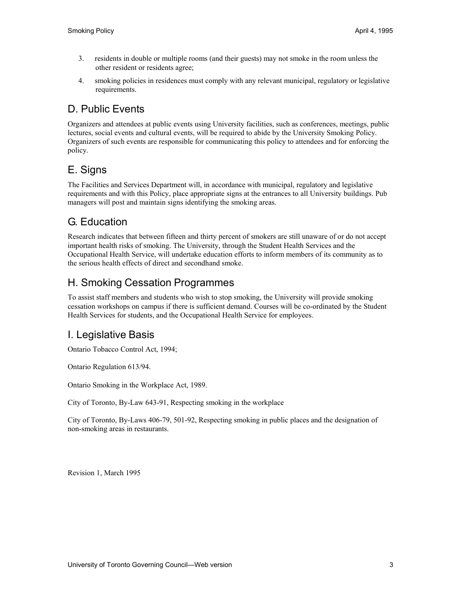- 3. residents in double or multiple rooms (and their guests) may not smoke in the room unless the other resident or residents agree;
- 4. smoking policies in residences must comply with any relevant municipal, regulatory or legislative requirements.

## D. Public Events

Organizers and attendees at public events using University facilities, such as conferences, meetings, public lectures, social events and cultural events, will be required to abide by the University Smoking Policy. Organizers of such events are responsible for communicating this policy to attendees and for enforcing the policy.

# E. Signs

The Facilities and Services Department will, in accordance with municipal, regulatory and legislative requirements and with this Policy, place appropriate signs at the entrances to all University buildings. Pub managers will post and maintain signs identifying the smoking areas.

## G. Education

Research indicates that between fifteen and thirty percent of smokers are still unaware of or do not accept important health risks of smoking. The University, through the Student Health Services and the Occupational Health Service, will undertake education efforts to inform members of its community as to the serious health effects of direct and secondhand smoke.

## H. Smoking Cessation Programmes

To assist staff members and students who wish to stop smoking, the University will provide smoking cessation workshops on campus if there is sufficient demand. Courses will be co-ordinated by the Student Health Services for students, and the Occupational Health Service for employees.

## I. Legislative Basis

Ontario Tobacco Control Act, 1994;

Ontario Regulation 613/94.

Ontario Smoking in the Workplace Act, 1989.

City of Toronto, By-Law 643-91, Respecting smoking in the workplace

City of Toronto, By-Laws 406-79, 501-92, Respecting smoking in public places and the designation of non-smoking areas in restaurants.

Revision 1, March 1995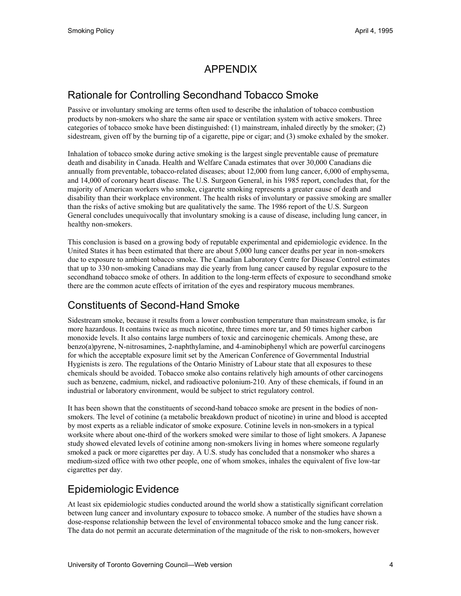## APPENDIX

#### Rationale for Controlling Secondhand Tobacco Smoke

Passive or involuntary smoking are terms often used to describe the inhalation of tobacco combustion products by non-smokers who share the same air space or ventilation system with active smokers. Three categories of tobacco smoke have been distinguished: (1) mainstream, inhaled directly by the smoker; (2) sidestream, given off by the burning tip of a cigarette, pipe or cigar; and (3) smoke exhaled by the smoker.

Inhalation of tobacco smoke during active smoking is the largest single preventable cause of premature death and disability in Canada. Health and Welfare Canada estimates that over 30,000 Canadians die annually from preventable, tobacco-related diseases; about 12,000 from lung cancer, 6,000 of emphysema, and 14,000 of coronary heart disease. The U.S. Surgeon General, in his 1985 report, concludes that, for the majority of American workers who smoke, cigarette smoking represents a greater cause of death and disability than their workplace environment. The health risks of involuntary or passive smoking are smaller than the risks of active smoking but are qualitatively the same. The 1986 report of the U.S. Surgeon General concludes unequivocally that involuntary smoking is a cause of disease, including lung cancer, in healthy non-smokers.

This conclusion is based on a growing body of reputable experimental and epidemiologic evidence. In the United States it has been estimated that there are about 5,000 lung cancer deaths per year in non-smokers due to exposure to ambient tobacco smoke. The Canadian Laboratory Centre for Disease Control estimates that up to 330 non-smoking Canadians may die yearly from lung cancer caused by regular exposure to the secondhand tobacco smoke of others. In addition to the long-term effects of exposure to secondhand smoke there are the common acute effects of irritation of the eyes and respiratory mucous membranes.

#### Constituents of Second-Hand Smoke

Sidestream smoke, because it results from a lower combustion temperature than mainstream smoke, is far more hazardous. It contains twice as much nicotine, three times more tar, and 50 times higher carbon monoxide levels. It also contains large numbers of toxic and carcinogenic chemicals. Among these, are benzo(a)pyrene, N-nitrosamines, 2-naphthylamine, and 4-aminobiphenyl which are powerful carcinogens for which the acceptable exposure limit set by the American Conference of Governmental Industrial Hygienists is zero. The regulations of the Ontario Ministry of Labour state that all exposures to these chemicals should be avoided. Tobacco smoke also contains relatively high amounts of other carcinogens such as benzene, cadmium, nickel, and radioactive polonium-210. Any of these chemicals, if found in an industrial or laboratory environment, would be subject to strict regulatory control.

It has been shown that the constituents of second-hand tobacco smoke are present in the bodies of nonsmokers. The level of cotinine (a metabolic breakdown product of nicotine) in urine and blood is accepted by most experts as a reliable indicator of smoke exposure. Cotinine levels in non-smokers in a typical worksite where about one-third of the workers smoked were similar to those of light smokers. A Japanese study showed elevated levels of cotinine among non-smokers living in homes where someone regularly smoked a pack or more cigarettes per day. A U.S. study has concluded that a nonsmoker who shares a medium-sized office with two other people, one of whom smokes, inhales the equivalent of five low-tar cigarettes per day.

#### Epidemiologic Evidence

At least six epidemiologic studies conducted around the world show a statistically significant correlation between lung cancer and involuntary exposure to tobacco smoke. A number of the studies have shown a dose-response relationship between the level of environmental tobacco smoke and the lung cancer risk. The data do not permit an accurate determination of the magnitude of the risk to non-smokers, however